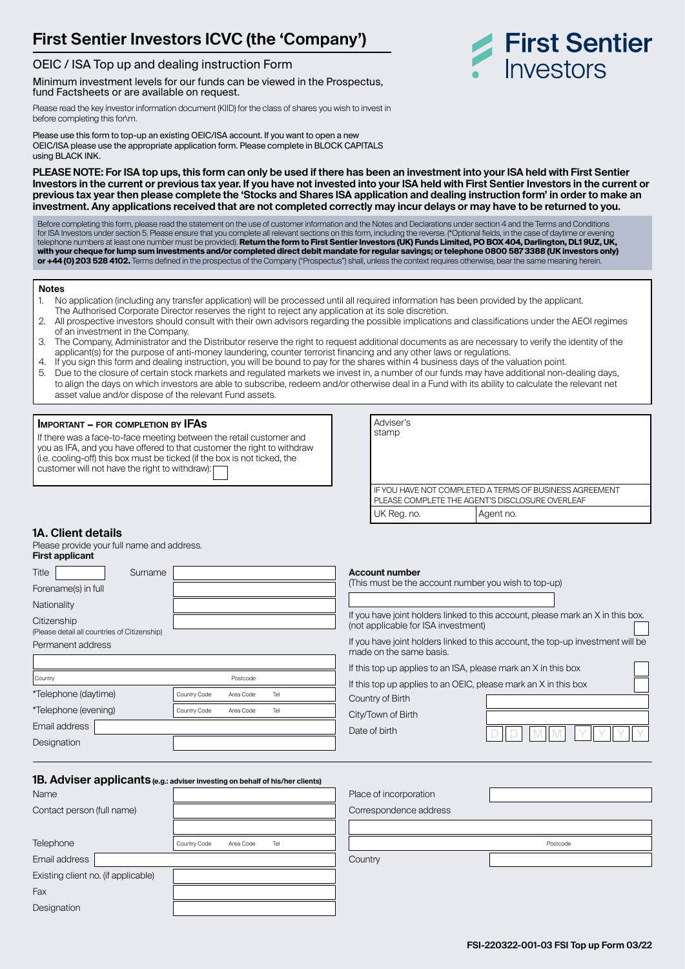# **First Sentier Investors ICVC (the 'Company')**

### OEIC / ISA Top up and dealing instruction Form

Minimum investment levels for our funds can be viewed in the Prospectus, fund Factsheets or are available on request.

Please read the key investor information document (KIID) for the class of shares you wish to invest in before completing this for\m.

Please use this form to top-up an existing OEIC/ISA account. If you want to open a new OEIC/ISA please use the appropriate application form. Please complete in BLOCK CAPITALS using BLACK INK.

**PLEASE NOTE: For ISA top ups, this form can only be used if there has been an investment into your ISA held with First Sentier Investors in the current or previous tax year. If you have not invested into your ISA held with First Sentier Investors in the current or previous tax year then please complete the 'Stocks and Shares ISA application and dealing instruction form' in order to make an investment. Any applications received that are not completed correctly may incur delays or may have to be returned to you.**

Before completing this form, please read the statement on the use of customer information and the Notes and Declarations under section 4 and the Terms and Conditions for ISA Investors under section 5. Please ensure that you complete all relevant sections on this form, including the reverse. (\*Optional fields, in the case of daytime or evening telephone numbers at least one number must be provided). **Return the form to First Sentier Investors (UK) Funds Limited, PO BOX 404, Darlington, DL1 9UZ, UK, with your cheque for lump sum investments and/or completed direct debit mandate for regular savings; or telephone 0800 587 3388 (UK investors only) or +44 (0) 203 528 4102.** Terms defined in the prospectus of the Company ("Prospectus") shall, unless the context requires otherwise, bear the same meaning herein.

#### **Notes**

- 1. No application (including any transfer application) will be processed until all required information has been provided by the applicant. The Authorised Corporate Director reserves the right to reject any application at its sole discretion.
- 2. All prospective investors should consult with their own advisors regarding the possible implications and classifications under the AEOI regimes of an investment in the Company.
- 3. The Company, Administrator and the Distributor reserve the right to request additional documents as are necessary to verify the identity of the applicant(s) for the purpose of anti-money laundering, counter terrorist financing and any other laws or regulations.
- 4. If you sign this form and dealing instruction, you will be bound to pay for the shares within 4 business days of the valuation point.
- 5. Due to the closure of certain stock markets and regulated markets we invest in, a number of our funds may have additional non-dealing days, to align the days on which investors are able to subscribe, redeem and/or otherwise deal in a Fund with its ability to calculate the relevant net asset value and/or dispose of the relevant Fund assets.

### **Important – for completion by IFAs**

If there was a face-to-face meeting between the retail customer and you as IFA, and you have offered to that customer the right to withdraw (i.e. cooling-off) this box must be ticked (if the box is not ticked, the customer will not have the right to withdraw):

| Adviser's<br>stamp                                                                                         |           |  |  |  |  |  |  |
|------------------------------------------------------------------------------------------------------------|-----------|--|--|--|--|--|--|
| IF YOU HAVE NOT COMPLETED A TERMS OF BUSINESS AGREEMENT<br>PLEASE COMPLETE THE AGENT'S DISCLOSURE OVERLEAF |           |  |  |  |  |  |  |
| UK Reg. no.                                                                                                | Agent no. |  |  |  |  |  |  |

# **1A. Client details**

**1B. Adviser applicants (e.g.: adviser investing on behalf of his/her clients)**

Please provide your full name and address.

| First applicant                                             |         |              |           |     |  |
|-------------------------------------------------------------|---------|--------------|-----------|-----|--|
| Title                                                       | Surname |              |           |     |  |
| Forename(s) in full                                         |         |              |           |     |  |
| Nationality                                                 |         |              |           |     |  |
| Citizenship<br>(Please detail all countries of Citizenship) |         |              |           |     |  |
| Permanent address                                           |         |              |           |     |  |
|                                                             |         |              |           |     |  |
| Country                                                     |         |              | Postcode  |     |  |
| *Telephone (daytime)                                        |         | Country Code | Area Code | Tel |  |
| *Telephone (evening)                                        |         | Country Code | Area Code | Tel |  |
| Email address                                               |         |              |           |     |  |
| Designation                                                 |         |              |           |     |  |
|                                                             |         |              |           |     |  |

#### **Account number**

(This must be the account number you wish to top‑up)

If you have joint holders linked to this account, please mark an X in this box. (not applicable for ISA investment)

| If you have joint holders linked to this account, the top-up investment will be |
|---------------------------------------------------------------------------------|
| made on the same basis.                                                         |

If this top up applies to an ISA, please mark an X in this box

If this top up applies to an OEIC, please mark an X in this box

Country of Birth City/Town of Birth



|                                     | <b>ID. AUVISCI APPIICATILS</b> (e.g.: adviser investing on behalf of his/her clients) |                        |          |
|-------------------------------------|---------------------------------------------------------------------------------------|------------------------|----------|
| Name                                |                                                                                       | Place of incorporation |          |
| Contact person (full name)          |                                                                                       | Correspondence address |          |
|                                     |                                                                                       |                        |          |
| Telephone                           | Tel<br>Country Code<br>Area Code                                                      |                        | Postcode |
| Email address                       |                                                                                       | Country                |          |
| Existing client no. (if applicable) |                                                                                       |                        |          |
| Fax                                 |                                                                                       |                        |          |
|                                     |                                                                                       |                        |          |

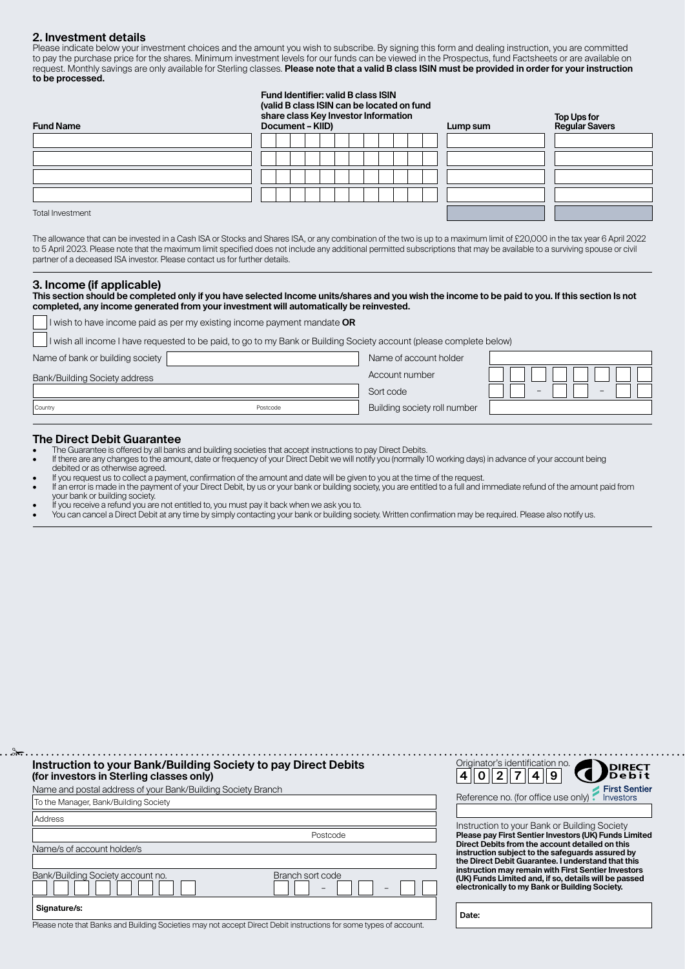### **2. Investment details**

Please indicate below your investment choices and the amount you wish to subscribe. By signing this form and dealing instruction, you are committed to pay the purchase price for the shares. Minimum investment levels for our funds can be viewed in the Prospectus, fund Factsheets or are available on request. Monthly savings are only available for Sterling classes. **Please note that a valid B class ISIN must be provided in order for your instruction to be processed.**

**Fund Identifier: valid B class ISIN**

| <b>Fund Name</b>        | (valid B class ISIN can be located on fund<br>share class Key Investor Information<br>Document - KIID)<br>Lump sum |  |  |  |  |  | Top Ups for<br>Regular Savers |  |  |  |  |
|-------------------------|--------------------------------------------------------------------------------------------------------------------|--|--|--|--|--|-------------------------------|--|--|--|--|
|                         |                                                                                                                    |  |  |  |  |  |                               |  |  |  |  |
|                         |                                                                                                                    |  |  |  |  |  |                               |  |  |  |  |
|                         |                                                                                                                    |  |  |  |  |  |                               |  |  |  |  |
|                         |                                                                                                                    |  |  |  |  |  |                               |  |  |  |  |
| <b>Total Investment</b> |                                                                                                                    |  |  |  |  |  |                               |  |  |  |  |

The allowance that can be invested in a Cash ISA or Stocks and Shares ISA, or any combination of the two is up to a maximum limit of £20,000 in the tax year 6 April 2022 to 5 April 2023. Please note that the maximum limit specified does not include any additional permitted subscriptions that may be available to a surviving spouse or civil partner of a deceased ISA investor. Please contact us for further details.

### **3. Income (if applicable)**

**This section should be completed only if you have selected Income units/shares and you wish the income to be paid to you. If this section Is not completed, any income generated from your investment will automatically be reinvested.**

| I wish to have income paid as per my existing income payment mandate OR |  |
|-------------------------------------------------------------------------|--|
|-------------------------------------------------------------------------|--|

I wish all income I have requested to be paid, to go to my Bank or Building Society account (please complete below)

| Name of bank or building society |          | Name of account holder       |   |
|----------------------------------|----------|------------------------------|---|
| Bank/Building Society address    |          | Account number               |   |
|                                  |          | Sort code                    | - |
| Country                          | Postcode | Building society roll number |   |
|                                  |          |                              |   |

### **The Direct Debit Guarantee**

.<br>م

- The Guarantee is offered by all banks and building societies that accept instructions to pay Direct Debits.
- If there are any changes to the amount, date or frequency of your Direct Debit we will notify you (normally 10 working days) in advance of your account being debited or as otherwise agreed.
- If you request us to collect a payment, confirmation of the amount and date will be given to you at the time of the request.
- If an error is made in the payment of your Direct Debit, by us or your bank or building society, you are entitled to a full and immediate refund of the amount paid from your bank or building society.
- If you receive a refund you are not entitled to, you must pay it back when we ask you to.
- You can cancel a Direct Debit at any time by simply contacting your bank or building society. Written confirmation may be required. Please also notify us.

| Instruction to your Bank/Building Society to pay Direct Debits<br>(for investors in Sterling classes only)        |                  | Originator's identification no.<br>)<br>Debit<br>Debit                                                    |
|-------------------------------------------------------------------------------------------------------------------|------------------|-----------------------------------------------------------------------------------------------------------|
| Name and postal address of your Bank/Building Society Branch                                                      |                  | <b>First Sentier</b>                                                                                      |
| To the Manager, Bank/Building Society                                                                             |                  | Reference no. (for office use only) :<br><b>Investors</b>                                                 |
| Address                                                                                                           |                  | Instruction to your Bank or Building Society                                                              |
|                                                                                                                   | Postcode         | Please pay First Sentier Investors (UK) Funds Limited                                                     |
| Name/s of account holder/s                                                                                        |                  | Direct Debits from the account detailed on this<br>instruction subject to the safeguards assured by       |
|                                                                                                                   |                  | the Direct Debit Guarantee. I understand that this<br>instruction may remain with First Sentier Investors |
| Bank/Building Society account no.                                                                                 | Branch sort code | (UK) Funds Limited and, if so, details will be passed                                                     |
|                                                                                                                   |                  | electronically to my Bank or Building Society.                                                            |
| Signature/s:                                                                                                      |                  | Date:                                                                                                     |
| Disasa wata that Daulis and Didding Castation mai instrument Dinast Dabit instrumentos for agment mass of against |                  |                                                                                                           |

lease note that Banks and Building Societies may not accept Direct Debit instructions for some types of account.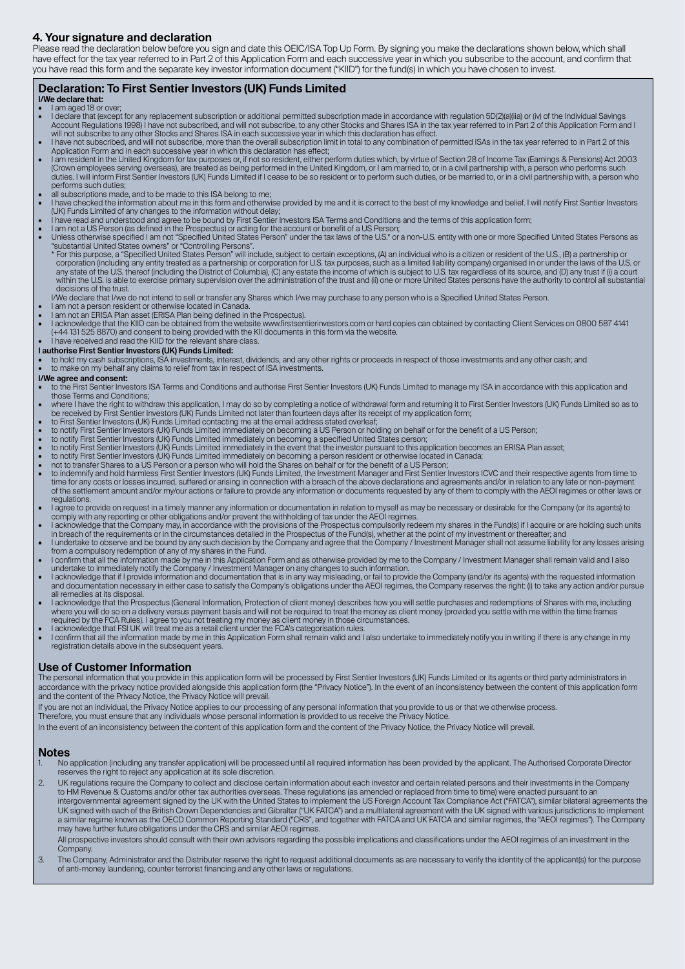# **4. Your signature and declaration**

Please read the declaration below before you sign and date this OEIC/ISA Top Up Form. By signing you make the declarations shown below, which shall have effect for the tax year referred to in Part 2 of this Application Form and each successive year in which you subscribe to the account, and confirm that you have read this form and the separate key investor information document ("KIID") for the fund(s) in which you have chosen to invest.

## **Declaration: To First Sentier Investors (UK) Funds Limited**

#### **I/We declare that:** • I am aged 18 or over;

- I declare that (except for any replacement subscription or additional permitted subscription made in accordance with regulation 5D(2)(a)(iia) or (iv) of the Individual Savings Account Regulations 1998) I have not subscribed, and will not subscribe, to any other Stocks and Shares ISA in the tax year referred to in Part 2 of this Application Form and I<br>will not subscribe to any other Stocks and Sh
- I have not subscribed, and will not subscribe, more than the overall subscription limit in total to any combination of permitted ISAs in the tax year referred to in Part 2 of this Application Form and in each successive year in which this declaration has effect;
- l am resident in the United Kingdom for tax purposes or, if not so resident, either perform duties which, by virtue of Section 28 of Income Tax (Earnings & Pensions) Act 2003<br>Crown employees serving overseas), are treated duties. I will inform First Sentier Investors (UK) Funds Limited if I cease to be so resident or to perform such duties, or be married to, or in a civil partnership with, a person who performs such duties;
- all subscriptions made, and to be made to this ISA belong to me;
- I have checked the information about me in this form and otherwise provided by me and it is correct to the best of my knowledge and belief. I will notify First Sentier Investors
- (UK) Funds Limited of any changes to the information without delay; I have read and understood and agree to be bound by First Sentier Investors ISA Terms and Conditions and the terms of this application form;
- 
- I am not a US Person (as defined in the Prospectus) or acting for the account or benefit of a US Person;<br>• Unless otherwise specified I am not "Specified United States Person" under the tax laws of the U.S.\* or a non-U.S
- For this purpose, a "Specified United States Person" will include, subject to certain exceptions, (A) an individual who is a citizen or resident of the U.S., (B) a partnership or forestight or the U.S. or corporation (incl decisions of the trust.
- I/We declare that I/we do not intend to sell or transfer any Shares which I/we may purchase to any person who is a Specified United States Person.
- 
- I am not a person resident or otherwise located in Canada. I am not an ERISA Plan asset (ERISA Plan being defined in the Prospectus).
- I acknowledge that the KIID can be obtained from the website www.firstsentierinvestors.com or hard copies can obtained by contacting Client Services on 0800 587 4141 (+44 131 525 8870) and consent to being provided with the KII documents in this form via the website. • I have received and read the KIID for the relevant share class.

### **I authorise First Sentier Investors (UK) Funds Limited:**

• to hold my cash subscriptions, ISA investments, interest, dividends, and any other rights or proceeds in respect of those investments and any other cash; and • to make on my behalf any claims to relief from tax in respect of ISA investments.

#### **I/We agree and consent:**

- to the First Sentier Investors ISA Terms and Conditions and authorise First Sentier Investors (UK) Funds Limited to manage my ISA in accordance with this application and
- those Terms and Conditions;<br>• where I have the right to withdraw this application, I may do so by completing a notice of withdrawal form and returning it to First Sentier Investors (UK) Funds Limited so as to<br>be received b
- 
- 
- to First Sentier Investors (UK) Funds Limited contacting me at the email address stated overleat;<br>• to notify First Sentier Investors (UK) Funds Limited immediately on becoming a US Person or holding on behalf or for th
- 
- not to transfer Shares to a US Person or a person who will hold the Shares on behalf or for the benefit of a US Person;
- to indemnity and hold harmless First Sentier Investors (UK) Funds Limited, the Investment Manager and First Sentier Investors ICVC and their respective agents from time to time to time for any costs or losses incurred, suf regulations.
- lagree to provide on request in a timely manner any information or documentation in relation to myself as may be necessary or desirable for the Company (or its agents) to comply with any reporting or other obligations and/
- 
- I acknowledge that the Company may, in accordance with the provisions of the Prospectus compulsorily redeem my shares in the Fund(s) if I acquire or are holding such units<br>
I horeach of the requirements or in the circu
- 
- l acknowledge that if I provide information and documentation that is in any way misleading, or fail to provide the Company (and/or its agents) with the requested information<br>and documentation necessary in either case to s all remedies at its disposal.
- l acknowledge that the Prospectus (General Information, Protection of client money) describes how you will settle purchases and redemptions of Shares with me, including (including where you will do so on a delivery versus required by the FCA Rules). I agree to you not treating my money as client money in those circumstances.
- I acknowledge that FSI UK will treat me as a retail client under the FCA's categorisation rules.<br>• I confirm that all the information made by me in this Application Form shall remain valid and I also undertake to imm registration details above in the subsequent years.

**Use of Customer Information**<br>The personal information that you provide in this application form will be processed by First Sentier Investors (UK) Funds Limited or its agents or third party administrators in The personal information that you provide in this application form will be processed by First Sentier Investors (UK) Funds Limited or its agents or third party administrators in accordance with the privacy notice provided alongside this application form (the "Privacy Notice"). In the event of an inconsistency between the content of this application form and the content of the Privacy Notice, the Privacy Notice will prevail.

If you are not an individual, the Privacy Notice applies to our processing of any personal information that you provide to us or that we otherwise process.

- Therefore, you must ensure that any individuals whose personal information is provided to us receive the Privacy Notice.
- In the event of an inconsistency between the content of this application form and the content of the Privacy Notice, the Privacy Notice will prevail.

#### **Notes**

- No application (including any transfer application) will be processed until all required information has been provided by the applicant. The Authorised Corporate Director reserves the right to reject any application at its sole discretion.
- 2. UK regulations require the Company to collect and disclose certain information about each investor and certain related persons and their investments in the Company to HM Revenue & Customs and/or other tax authorities overseas. These regulations (as amended or replaced from time to time) were enacted pursuant to an intergovernmental agreement signed by the UK with the United States to implement the US Foreign Account Tax Compliance Act ("FATCA"), similar bilateral agreements the UK signed with each of the British Crown Dependencies and Gibraltar ("UK FATCA") and a multilateral agreement with the UK signed with various jurisdictions to implement a similar regime known as the OECD Common Reporting Standard ("CRS", and together with FATCA and UK FATCA and similar regimes, the "AEOI regimes"). The Company may have further future obligations under the CRS and similar AEOI regimes.

All prospective investors should consult with their own advisors regarding the possible implications and classifications under the AEOI regimes of an investment in the Company.

3. The Company, Administrator and the Distributer reserve the right to request additional documents as are necessary to verify the identity of the applicant(s) for the purpose of anti‑money laundering, counter terrorist financing and any other laws or regulations.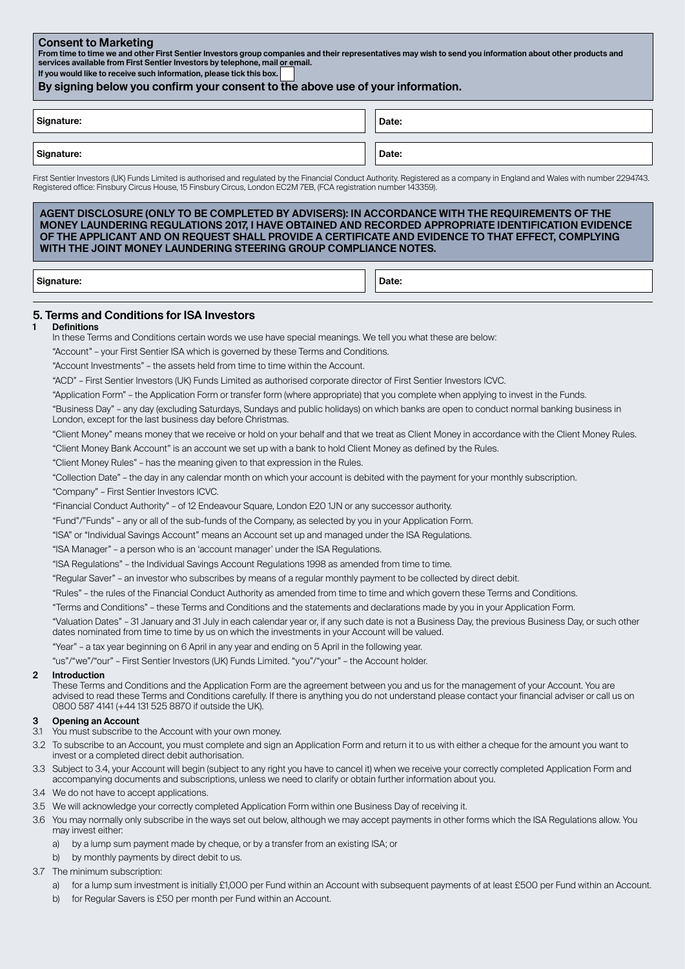### **Consent to Marketing**

**From time to time we and other First Sentier Investors group companies and their representatives may wish to send you information about other products and services available from First Sentier Investors by telephone, mail or email.**

**If you would like to receive such information, please tick this box.** 

# **By signing below you confirm your consent to the above use of your information.**

| Signature: | Date: |
|------------|-------|
| Signature: | Date: |

First Sentier Investors (UK) Funds Limited is authorised and regulated by the Financial Conduct Authority. Registered as a company in England and Wales with number 2294743. Registered office: Finsbury Circus House, 15 Finsbury Circus, London EC2M 7EB, (FCA registration number 143359).

#### **AGENT DISCLOSURE (ONLY TO BE COMPLETED BY ADVISERS): IN ACCORDANCE WITH THE REQUIREMENTS OF THE MONEY LAUNDERING REGULATIONS 2017, I HAVE OBTAINED AND RECORDED APPROPRIATE IDENTIFICATION EVIDENCE OF THE APPLICANT AND ON REQUEST SHALL PROVIDE A CERTIFICATE AND EVIDENCE TO THAT EFFECT, COMPLYING WITH THE JOINT MONEY LAUNDERING STEERING GROUP COMPLIANCE NOTES.**

### **Signature: Date:**

#### **5. Terms and Conditions for ISA Investors 1 Definitions**

In these Terms and Conditions certain words we use have special meanings. We tell you what these are below:

"Account" – your First Sentier ISA which is governed by these Terms and Conditions.

"Account Investments" – the assets held from time to time within the Account.

"ACD" – First Sentier Investors (UK) Funds Limited as authorised corporate director of First Sentier Investors ICVC.

"Application Form" – the Application Form or transfer form (where appropriate) that you complete when applying to invest in the Funds.

"Business Day" – any day (excluding Saturdays, Sundays and public holidays) on which banks are open to conduct normal banking business in London, except for the last business day before Christmas.

"Client Money" means money that we receive or hold on your behalf and that we treat as Client Money in accordance with the Client Money Rules. "Client Money Bank Account" is an account we set up with a bank to hold Client Money as defined by the Rules.

"Client Money Rules" – has the meaning given to that expression in the Rules.

"Collection Date" – the day in any calendar month on which your account is debited with the payment for your monthly subscription.

"Company" – First Sentier Investors ICVC.

"Financial Conduct Authority" – of 12 Endeavour Square, London E20 1JN or any successor authority.

"Fund"/"Funds" – any or all of the sub-funds of the Company, as selected by you in your Application Form.

"ISA" or "Individual Savings Account" means an Account set up and managed under the ISA Regulations.

"ISA Manager" – a person who is an 'account manager' under the ISA Regulations.

"ISA Regulations" – the Individual Savings Account Regulations 1998 as amended from time to time.

"Regular Saver" – an investor who subscribes by means of a regular monthly payment to be collected by direct debit.

"Rules" – the rules of the Financial Conduct Authority as amended from time to time and which govern these Terms and Conditions.

"Terms and Conditions" – these Terms and Conditions and the statements and declarations made by you in your Application Form.

"Valuation Dates" – 31 January and 31 July in each calendar year or, if any such date is not a Business Day, the previous Business Day, or such other dates nominated from time to time by us on which the investments in your Account will be valued.

"Year" – a tax year beginning on 6 April in any year and ending on 5 April in the following year.

"us"/"we"/"our" – First Sentier Investors (UK) Funds Limited. "you"/"your" – the Account holder.

#### **2 Introduction**

These Terms and Conditions and the Application Form are the agreement between you and us for the management of your Account. You are advised to read these Terms and Conditions carefully. If there is anything you do not understand please contact your financial adviser or call us on 0800 587 4141 (+44 131 525 8870 if outside the UK).

#### **3 Opening an Account**

- 3.1 You must subscribe to the Account with your own money.
- 3.2 To subscribe to an Account, you must complete and sign an Application Form and return it to us with either a cheque for the amount you want to invest or a completed direct debit authorisation.
- 3.3 Subject to 3.4, your Account will begin (subject to any right you have to cancel it) when we receive your correctly completed Application Form and accompanying documents and subscriptions, unless we need to clarify or obtain further information about you.
- 3.4 We do not have to accept applications.
- 3.5 We will acknowledge your correctly completed Application Form within one Business Day of receiving it.
- 3.6 You may normally only subscribe in the ways set out below, although we may accept payments in other forms which the ISA Regulations allow. You may invest either:
	- a) by a lump sum payment made by cheque, or by a transfer from an existing ISA; or
	- b) by monthly payments by direct debit to us.

### 3.7 The minimum subscription:

- a) for a lump sum investment is initially £1,000 per Fund within an Account with subsequent payments of at least £500 per Fund within an Account.
- b) for Regular Savers is £50 per month per Fund within an Account.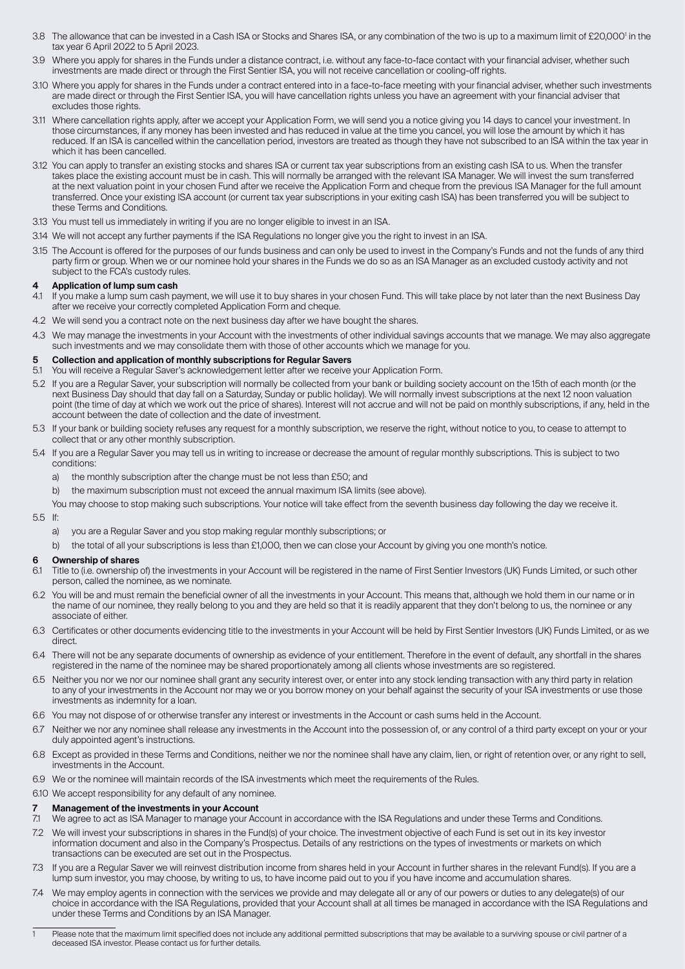- 3.8 The allowance that can be invested in a Cash ISA or Stocks and Shares ISA, or any combination of the two is up to a maximum limit of £20,000' in the tax year 6 April 2022 to 5 April 2023.
- 3.9 Where you apply for shares in the Funds under a distance contract, i.e. without any face-to-face contact with your financial adviser, whether such investments are made direct or through the First Sentier ISA, you will not receive cancellation or cooling-off rights.
- 3.10 Where you apply for shares in the Funds under a contract entered into in a face-to-face meeting with your financial adviser, whether such investments are made direct or through the First Sentier ISA, you will have cancellation rights unless you have an agreement with your financial adviser that excludes those rights.
- 3.11 Where cancellation rights apply, after we accept your Application Form, we will send you a notice giving you 14 days to cancel your investment. In those circumstances, if any money has been invested and has reduced in value at the time you cancel, you will lose the amount by which it has reduced. If an ISA is cancelled within the cancellation period, investors are treated as though they have not subscribed to an ISA within the tax year in which it has been cancelled.
- 3.12 You can apply to transfer an existing stocks and shares ISA or current tax year subscriptions from an existing cash ISA to us. When the transfer takes place the existing account must be in cash. This will normally be arranged with the relevant ISA Manager. We will invest the sum transferred at the next valuation point in your chosen Fund after we receive the Application Form and cheque from the previous ISA Manager for the full amount transferred. Once your existing ISA account (or current tax year subscriptions in your exiting cash ISA) has been transferred you will be subject to these Terms and Conditions.
- 3.13 You must tell us immediately in writing if you are no longer eligible to invest in an ISA.
- 3.14 We will not accept any further payments if the ISA Regulations no longer give you the right to invest in an ISA.
- 3.15 The Account is offered for the purposes of our funds business and can only be used to invest in the Company's Funds and not the funds of any third party firm or group. When we or our nominee hold your shares in the Funds we do so as an ISA Manager as an excluded custody activity and not subject to the FCA's custody rules.

# **4 Application of lump sum cash**<br>**4.1** If you make a lump sum cash pa

- If you make a lump sum cash payment, we will use it to buy shares in your chosen Fund. This will take place by not later than the next Business Day after we receive your correctly completed Application Form and cheque.
- 4.2 We will send you a contract note on the next business day after we have bought the shares.
- 4.3 We may manage the investments in your Account with the investments of other individual savings accounts that we manage. We may also aggregate such investments and we may consolidate them with those of other accounts which we manage for you.

### **5 Collection and application of monthly subscriptions for Regular Savers**

- 5.1 You will receive a Regular Saver's acknowledgement letter after we receive your Application Form.
- 5.2 If you are a Regular Saver, your subscription will normally be collected from your bank or building society account on the 15th of each month (or the next Business Day should that day fall on a Saturday, Sunday or public holiday). We will normally invest subscriptions at the next 12 noon valuation point (the time of day at which we work out the price of shares). Interest will not accrue and will not be paid on monthly subscriptions, if any, held in the account between the date of collection and the date of investment.
- 5.3 If your bank or building society refuses any request for a monthly subscription, we reserve the right, without notice to you, to cease to attempt to collect that or any other monthly subscription.
- 5.4 If you are a Regular Saver you may tell us in writing to increase or decrease the amount of regular monthly subscriptions. This is subject to two conditions:
	- a) the monthly subscription after the change must be not less than £50; and
	- b) the maximum subscription must not exceed the annual maximum ISA limits (see above).
	- You may choose to stop making such subscriptions. Your notice will take effect from the seventh business day following the day we receive it.

5.5 If:

- a) you are a Regular Saver and you stop making regular monthly subscriptions; or
- b) the total of all your subscriptions is less than £1,000, then we can close your Account by giving you one month's notice.

# **6 Ownership of shares**

- Title to (i.e. ownership of) the investments in your Account will be registered in the name of First Sentier Investors (UK) Funds Limited, or such other person, called the nominee, as we nominate.
- 6.2 You will be and must remain the beneficial owner of all the investments in your Account. This means that, although we hold them in our name or in the name of our nominee, they really belong to you and they are held so that it is readily apparent that they don't belong to us, the nominee or any associate of either.
- 6.3 Certificates or other documents evidencing title to the investments in your Account will be held by First Sentier Investors (UK) Funds Limited, or as we direct.
- 6.4 There will not be any separate documents of ownership as evidence of your entitlement. Therefore in the event of default, any shortfall in the shares registered in the name of the nominee may be shared proportionately among all clients whose investments are so registered.
- 6.5 Neither you nor we nor our nominee shall grant any security interest over, or enter into any stock lending transaction with any third party in relation to any of your investments in the Account nor may we or you borrow money on your behalf against the security of your ISA investments or use those investments as indemnity for a loan.
- 6.6 You may not dispose of or otherwise transfer any interest or investments in the Account or cash sums held in the Account.
- 6.7 Neither we nor any nominee shall release any investments in the Account into the possession of, or any control of a third party except on your or your duly appointed agent's instructions.
- 6.8 Except as provided in these Terms and Conditions, neither we nor the nominee shall have any claim, lien, or right of retention over, or any right to sell, investments in the Account.
- 6.9 We or the nominee will maintain records of the ISA investments which meet the requirements of the Rules.

6.10 We accept responsibility for any default of any nominee.

# **7 Management of the investments in your Account**<br>**71** We agree to act as ISA Manager to manage your Ac

- 7.1 We agree to act as ISA Manager to manage your Account in accordance with the ISA Regulations and under these Terms and Conditions.
- 7.2 We will invest your subscriptions in shares in the Fund(s) of your choice. The investment objective of each Fund is set out in its key investor information document and also in the Company's Prospectus. Details of any restrictions on the types of investments or markets on which transactions can be executed are set out in the Prospectus.
- 7.3 If you are a Regular Saver we will reinvest distribution income from shares held in your Account in further shares in the relevant Fund(s). If you are a lump sum investor, you may choose, by writing to us, to have income paid out to you if you have income and accumulation shares.
- 7.4 We may employ agents in connection with the services we provide and may delegate all or any of our powers or duties to any delegate(s) of our choice in accordance with the ISA Regulations, provided that your Account shall at all times be managed in accordance with the ISA Regulations and under these Terms and Conditions by an ISA Manager.
- Please note that the maximum limit specified does not include any additional permitted subscriptions that may be available to a surviving spouse or civil partner of a deceased ISA investor. Please contact us for further details.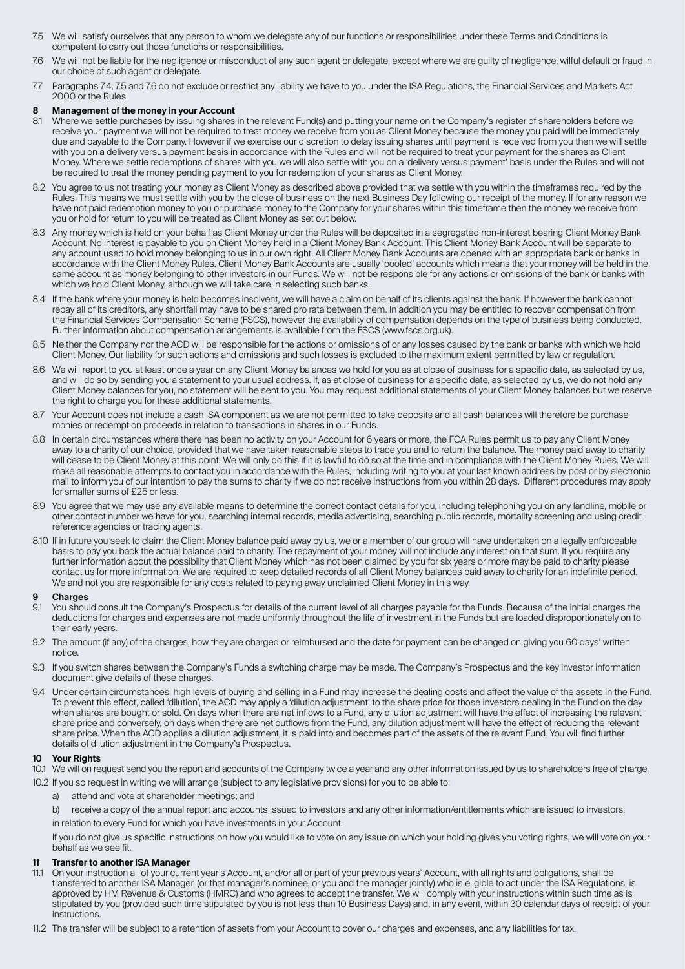- 7.5 We will satisfy ourselves that any person to whom we delegate any of our functions or responsibilities under these Terms and Conditions is competent to carry out those functions or responsibilities.
- 7.6 We will not be liable for the negligence or misconduct of any such agent or delegate, except where we are guilty of negligence, wilful default or fraud in our choice of such agent or delegate.
- 7.7 Paragraphs 7.4, 7.5 and 7.6 do not exclude or restrict any liability we have to you under the ISA Regulations, the Financial Services and Markets Act 2000 or the Rules.

# **8 Management of the money in your Account**<br>81 Where we settle purchases by issuing shares

- Where we settle purchases by issuing shares in the relevant Fund(s) and putting your name on the Company's register of shareholders before we receive your payment we will not be required to treat money we receive from you as Client Money because the money you paid will be immediately due and payable to the Company. However if we exercise our discretion to delay issuing shares until payment is received from you then we will settle with you on a delivery versus payment basis in accordance with the Rules and will not be required to treat your payment for the shares as Client Money. Where we settle redemptions of shares with you we will also settle with you on a 'delivery versus payment' basis under the Rules and will not be required to treat the money pending payment to you for redemption of your shares as Client Money.
- 8.2 You agree to us not treating your money as Client Money as described above provided that we settle with you within the timeframes required by the Rules. This means we must settle with you by the close of business on the next Business Day following our receipt of the money. If for any reason we have not paid redemption money to you or purchase money to the Company for your shares within this timeframe then the money we receive from you or hold for return to you will be treated as Client Money as set out below.
- 8.3 Any money which is held on your behalf as Client Money under the Rules will be deposited in a segregated non-interest bearing Client Money Bank Account. No interest is payable to you on Client Money held in a Client Money Bank Account. This Client Money Bank Account will be separate to any account used to hold money belonging to us in our own right. All Client Money Bank Accounts are opened with an appropriate bank or banks in accordance with the Client Money Rules. Client Money Bank Accounts are usually 'pooled' accounts which means that your money will be held in the same account as money belonging to other investors in our Funds. We will not be responsible for any actions or omissions of the bank or banks with which we hold Client Money, although we will take care in selecting such banks.
- 8.4 If the bank where your money is held becomes insolvent, we will have a claim on behalf of its clients against the bank. If however the bank cannot repay all of its creditors, any shortfall may have to be shared pro rata between them. In addition you may be entitled to recover compensation from the Financial Services Compensation Scheme (FSCS), however the availability of compensation depends on the type of business being conducted. Further information about compensation arrangements is available from the FSCS (www.fscs.org.uk).
- 8.5 Neither the Company nor the ACD will be responsible for the actions or omissions of or any losses caused by the bank or banks with which we hold Client Money. Our liability for such actions and omissions and such losses is excluded to the maximum extent permitted by law or regulation.
- 8.6 We will report to you at least once a year on any Client Money balances we hold for you as at close of business for a specific date, as selected by us, and will do so by sending you a statement to your usual address. If, as at close of business for a specific date, as selected by us, we do not hold any Client Money balances for you, no statement will be sent to you. You may request additional statements of your Client Money balances but we reserve the right to charge you for these additional statements.
- 8.7 Your Account does not include a cash ISA component as we are not permitted to take deposits and all cash balances will therefore be purchase monies or redemption proceeds in relation to transactions in shares in our Funds.
- 8.8 In certain circumstances where there has been no activity on your Account for 6 years or more, the FCA Rules permit us to pay any Client Money away to a charity of our choice, provided that we have taken reasonable steps to trace you and to return the balance. The money paid away to charity will cease to be Client Money at this point. We will only do this if it is lawful to do so at the time and in compliance with the Client Money Rules. We will make all reasonable attempts to contact you in accordance with the Rules, including writing to you at your last known address by post or by electronic mail to inform you of our intention to pay the sums to charity if we do not receive instructions from you within 28 days. Different procedures may apply for smaller sums of £25 or less.
- 8.9 You agree that we may use any available means to determine the correct contact details for you, including telephoning you on any landline, mobile or other contact number we have for you, searching internal records, media advertising, searching public records, mortality screening and using credit reference agencies or tracing agents.
- 8.10 If in future you seek to claim the Client Money balance paid away by us, we or a member of our group will have undertaken on a legally enforceable basis to pay you back the actual balance paid to charity. The repayment of your money will not include any interest on that sum. If you require any further information about the possibility that Client Money which has not been claimed by you for six years or more may be paid to charity please contact us for more information. We are required to keep detailed records of all Client Money balances paid away to charity for an indefinite period. We and not you are responsible for any costs related to paying away unclaimed Client Money in this way.

# **9 Charges**

- You should consult the Company's Prospectus for details of the current level of all charges payable for the Funds. Because of the initial charges the deductions for charges and expenses are not made uniformly throughout the life of investment in the Funds but are loaded disproportionately on to their early years.
- 9.2 The amount (if any) of the charges, how they are charged or reimbursed and the date for payment can be changed on giving you 60 days' written notice.
- 9.3 If you switch shares between the Company's Funds a switching charge may be made. The Company's Prospectus and the key investor information document give details of these charges.
- 9.4 Under certain circumstances, high levels of buying and selling in a Fund may increase the dealing costs and affect the value of the assets in the Fund. To prevent this effect, called 'dilution', the ACD may apply a 'dilution adjustment' to the share price for those investors dealing in the Fund on the day when shares are bought or sold. On days when there are net inflows to a Fund, any dilution adjustment will have the effect of increasing the relevant share price and conversely, on days when there are net outflows from the Fund, any dilution adjustment will have the effect of reducing the relevant share price. When the ACD applies a dilution adjustment, it is paid into and becomes part of the assets of the relevant Fund. You will find further details of dilution adjustment in the Company's Prospectus.

### **10 Your Rights**

- 10.1 We will on request send you the report and accounts of the Company twice a year and any other information issued by us to shareholders free of charge.
- 10.2 If you so request in writing we will arrange (subject to any legislative provisions) for you to be able to:
	- a) attend and vote at shareholder meetings; and
	- b) receive a copy of the annual report and accounts issued to investors and any other information/entitlements which are issued to investors,
	- in relation to every Fund for which you have investments in your Account.

If you do not give us specific instructions on how you would like to vote on any issue on which your holding gives you voting rights, we will vote on your behalf as we see fit.

#### **11 Transfer to another ISA Manager**

- 11.1 On your instruction all of your current year's Account, and/or all or part of your previous years' Account, with all rights and obligations, shall be transferred to another ISA Manager, (or that manager's nominee, or you and the manager jointly) who is eligible to act under the ISA Regulations, is approved by HM Revenue & Customs (HMRC) and who agrees to accept the transfer. We will comply with your instructions within such time as is stipulated by you (provided such time stipulated by you is not less than 10 Business Days) and, in any event, within 30 calendar days of receipt of your instructions.
- 11.2 The transfer will be subject to a retention of assets from your Account to cover our charges and expenses, and any liabilities for tax.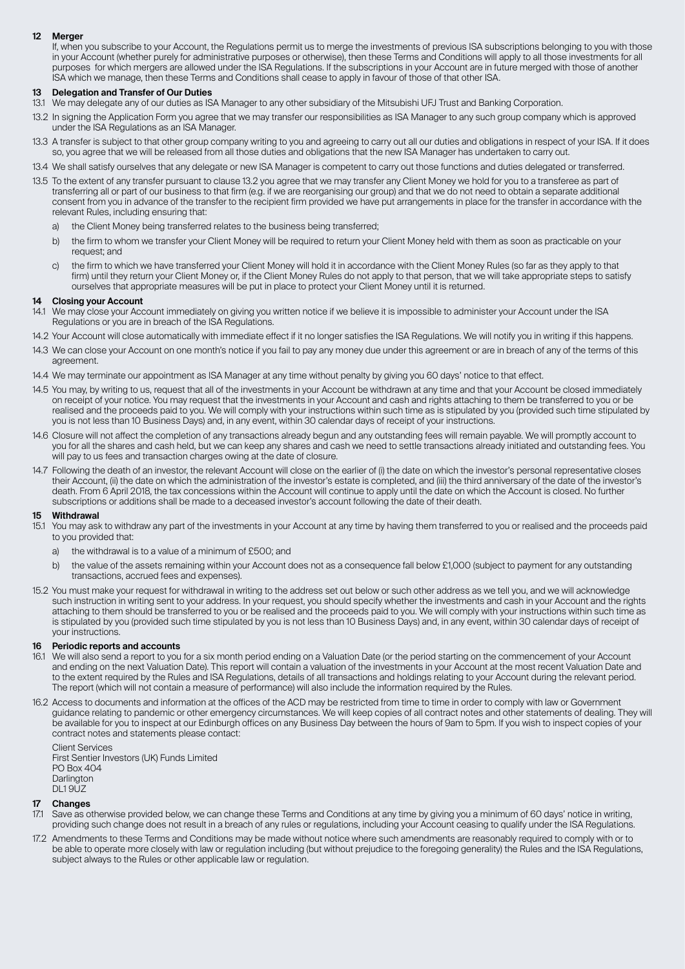#### **12 Merger**

If, when you subscribe to your Account, the Regulations permit us to merge the investments of previous ISA subscriptions belonging to you with those in your Account (whether purely for administrative purposes or otherwise), then these Terms and Conditions will apply to all those investments for all purposes for which mergers are allowed under the ISA Regulations. If the subscriptions in your Account are in future merged with those of another ISA which we manage, then these Terms and Conditions shall cease to apply in favour of those of that other ISA.

#### **13 Delegation and Transfer of Our Duties**

- 13.1 We may delegate any of our duties as ISA Manager to any other subsidiary of the Mitsubishi UFJ Trust and Banking Corporation.
- 13.2 In signing the Application Form you agree that we may transfer our responsibilities as ISA Manager to any such group company which is approved under the ISA Regulations as an ISA Manager.
- 13.3 A transfer is subject to that other group company writing to you and agreeing to carry out all our duties and obligations in respect of your ISA. If it does so, you agree that we will be released from all those duties and obligations that the new ISA Manager has undertaken to carry out.
- 13.4 We shall satisfy ourselves that any delegate or new ISA Manager is competent to carry out those functions and duties delegated or transferred.
- 13.5 To the extent of any transfer pursuant to clause 13.2 you agree that we may transfer any Client Money we hold for you to a transferee as part of transferring all or part of our business to that firm (e.g. if we are reorganising our group) and that we do not need to obtain a separate additional consent from you in advance of the transfer to the recipient firm provided we have put arrangements in place for the transfer in accordance with the relevant Rules, including ensuring that:
	- a) the Client Money being transferred relates to the business being transferred;
	- b) the firm to whom we transfer your Client Money will be required to return your Client Money held with them as soon as practicable on your request; and
	- c) the firm to which we have transferred your Client Money will hold it in accordance with the Client Money Rules (so far as they apply to that firm) until they return your Client Money or, if the Client Money Rules do not apply to that person, that we will take appropriate steps to satisfy ourselves that appropriate measures will be put in place to protect your Client Money until it is returned.

# **14 Closing your Account**

- 14.1 We may close your Account immediately on giving you written notice if we believe it is impossible to administer your Account under the ISA Regulations or you are in breach of the ISA Regulations.
- 14.2 Your Account will close automatically with immediate effect if it no longer satisfies the ISA Regulations. We will notify you in writing if this happens.
- 14.3 We can close your Account on one month's notice if you fail to pay any money due under this agreement or are in breach of any of the terms of this agreement.
- 14.4 We may terminate our appointment as ISA Manager at any time without penalty by giving you 60 days' notice to that effect.
- 14.5 You may, by writing to us, request that all of the investments in your Account be withdrawn at any time and that your Account be closed immediately on receipt of your notice. You may request that the investments in your Account and cash and rights attaching to them be transferred to you or be realised and the proceeds paid to you. We will comply with your instructions within such time as is stipulated by you (provided such time stipulated by you is not less than 10 Business Days) and, in any event, within 30 calendar days of receipt of your instructions.
- 14.6 Closure will not affect the completion of any transactions already begun and any outstanding fees will remain payable. We will promptly account to you for all the shares and cash held, but we can keep any shares and cash we need to settle transactions already initiated and outstanding fees. You will pay to us fees and transaction charges owing at the date of closure.
- 14.7 Following the death of an investor, the relevant Account will close on the earlier of (i) the date on which the investor's personal representative closes their Account, (ii) the date on which the administration of the investor's estate is completed, and (iii) the third anniversary of the date of the investor's death. From 6 April 2018, the tax concessions within the Account will continue to apply until the date on which the Account is closed. No further subscriptions or additions shall be made to a deceased investor's account following the date of their death.

#### **15 Withdrawal**

- 15.1 You may ask to withdraw any part of the investments in your Account at any time by having them transferred to you or realised and the proceeds paid to you provided that:
	- a) the withdrawal is to a value of a minimum of £500; and
	- b) the value of the assets remaining within your Account does not as a consequence fall below £1,000 (subject to payment for any outstanding transactions, accrued fees and expenses).
- 15.2 You must make your request for withdrawal in writing to the address set out below or such other address as we tell you, and we will acknowledge such instruction in writing sent to your address. In your request, you should specify whether the investments and cash in your Account and the rights attaching to them should be transferred to you or be realised and the proceeds paid to you. We will comply with your instructions within such time as is stipulated by you (provided such time stipulated by you is not less than 10 Business Days) and, in any event, within 30 calendar days of receipt of your instructions.

### **16 Periodic reports and accounts**

- 16.1 We will also send a report to you for a six month period ending on a Valuation Date (or the period starting on the commencement of your Account and ending on the next Valuation Date). This report will contain a valuation of the investments in your Account at the most recent Valuation Date and to the extent required by the Rules and ISA Regulations, details of all transactions and holdings relating to your Account during the relevant period. The report (which will not contain a measure of performance) will also include the information required by the Rules.
- 16.2 Access to documents and information at the offices of the ACD may be restricted from time to time in order to comply with law or Government guidance relating to pandemic or other emergency circumstances. We will keep copies of all contract notes and other statements of dealing. They will be available for you to inspect at our Edinburgh offices on any Business Day between the hours of 9am to 5pm. If you wish to inspect copies of your contract notes and statements please contact:

Client Services First Sentier Investors (UK) Funds Limited PO Box 404 **Darlington** DL19UZ

# **17 Changes**

- Save as otherwise provided below, we can change these Terms and Conditions at any time by giving you a minimum of 60 days' notice in writing, providing such change does not result in a breach of any rules or regulations, including your Account ceasing to qualify under the ISA Regulations.
- 17.2 Amendments to these Terms and Conditions may be made without notice where such amendments are reasonably required to comply with or to be able to operate more closely with law or regulation including (but without prejudice to the foregoing generality) the Rules and the ISA Regulations, subject always to the Rules or other applicable law or regulation.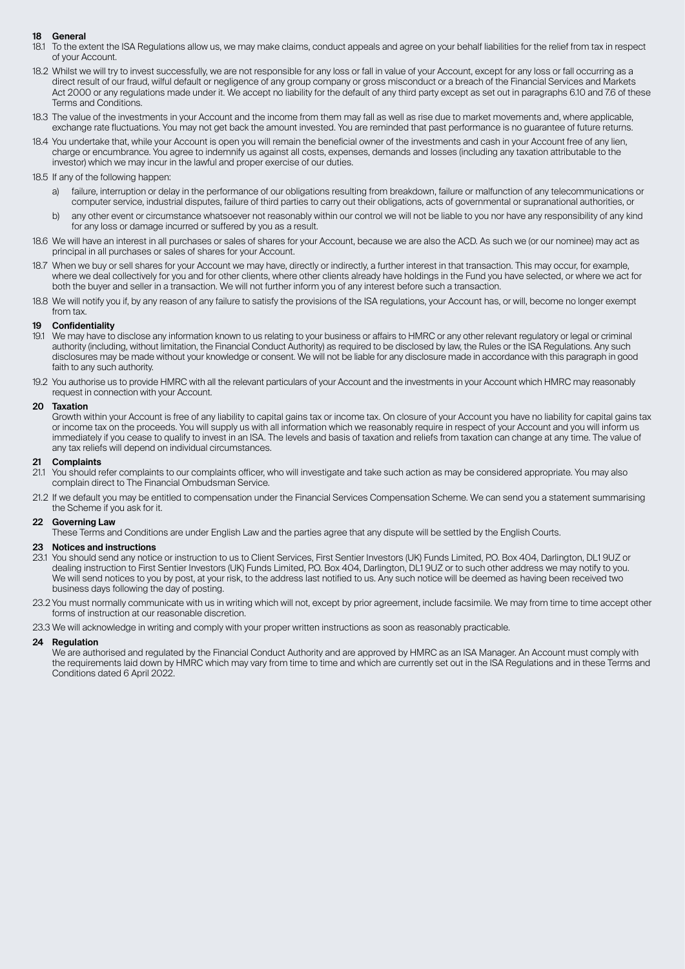#### **18 General**

- 18.1 To the extent the ISA Regulations allow us, we may make claims, conduct appeals and agree on your behalf liabilities for the relief from tax in respect of your Account.
- 18.2 Whilst we will try to invest successfully, we are not responsible for any loss or fall in value of your Account, except for any loss or fall occurring as a direct result of our fraud, wilful default or negligence of any group company or gross misconduct or a breach of the Financial Services and Markets Act 2000 or any regulations made under it. We accept no liability for the default of any third party except as set out in paragraphs 6.10 and 7.6 of these Terms and Conditions.
- 18.3 The value of the investments in your Account and the income from them may fall as well as rise due to market movements and, where applicable, exchange rate fluctuations. You may not get back the amount invested. You are reminded that past performance is no guarantee of future returns.
- 18.4 You undertake that, while your Account is open you will remain the beneficial owner of the investments and cash in your Account free of any lien, charge or encumbrance. You agree to indemnify us against all costs, expenses, demands and losses (including any taxation attributable to the investor) which we may incur in the lawful and proper exercise of our duties.
- 18.5 If any of the following happen:
	- a) failure, interruption or delay in the performance of our obligations resulting from breakdown, failure or malfunction of any telecommunications or computer service, industrial disputes, failure of third parties to carry out their obligations, acts of governmental or supranational authorities, or
	- b) any other event or circumstance whatsoever not reasonably within our control we will not be liable to you nor have any responsibility of any kind for any loss or damage incurred or suffered by you as a result.
- 18.6 We will have an interest in all purchases or sales of shares for your Account, because we are also the ACD. As such we (or our nominee) may act as principal in all purchases or sales of shares for your Account.
- 18.7 When we buy or sell shares for your Account we may have, directly or indirectly, a further interest in that transaction. This may occur, for example, where we deal collectively for you and for other clients, where other clients already have holdings in the Fund you have selected, or where we act for both the buyer and seller in a transaction. We will not further inform you of any interest before such a transaction.
- 18.8 We will notify you if, by any reason of any failure to satisfy the provisions of the ISA regulations, your Account has, or will, become no longer exempt from tax.

# **19 Confidentiality**

- We may have to disclose any information known to us relating to your business or affairs to HMRC or any other relevant regulatory or legal or criminal authority (including, without limitation, the Financial Conduct Authority) as required to be disclosed by law, the Rules or the ISA Regulations. Any such disclosures may be made without your knowledge or consent. We will not be liable for any disclosure made in accordance with this paragraph in good faith to any such authority.
- 19.2 You authorise us to provide HMRC with all the relevant particulars of your Account and the investments in your Account which HMRC may reasonably request in connection with your Account.

#### **20 Taxation**

Growth within your Account is free of any liability to capital gains tax or income tax. On closure of your Account you have no liability for capital gains tax or income tax on the proceeds. You will supply us with all information which we reasonably require in respect of your Account and you will inform us immediately if you cease to qualify to invest in an ISA. The levels and basis of taxation and reliefs from taxation can change at any time. The value of any tax reliefs will depend on individual circumstances.

#### **21 Complaints**

- 21.1 You should refer complaints to our complaints officer, who will investigate and take such action as may be considered appropriate. You may also complain direct to The Financial Ombudsman Service.
- 21.2 If we default you may be entitled to compensation under the Financial Services Compensation Scheme. We can send you a statement summarising the Scheme if you ask for it.

#### **22 Governing Law**

These Terms and Conditions are under English Law and the parties agree that any dispute will be settled by the English Courts.

#### **23 Notices and instructions**

- 23.1 You should send any notice or instruction to us to Client Services, First Sentier Investors (UK) Funds Limited, P.O. Box 404, Darlington, DL1 9UZ or dealing instruction to First Sentier Investors (UK) Funds Limited, P.O. Box 404, Darlington, DL1 9UZ or to such other address we may notify to you. We will send notices to you by post, at your risk, to the address last notified to us. Any such notice will be deemed as having been received two business days following the day of posting.
- 23.2 You must normally communicate with us in writing which will not, except by prior agreement, include facsimile. We may from time to time accept other forms of instruction at our reasonable discretion.
- 23.3 We will acknowledge in writing and comply with your proper written instructions as soon as reasonably practicable.

### **24 Regulation**

We are authorised and regulated by the Financial Conduct Authority and are approved by HMRC as an ISA Manager. An Account must comply with the requirements laid down by HMRC which may vary from time to time and which are currently set out in the ISA Regulations and in these Terms and Conditions dated 6 April 2022.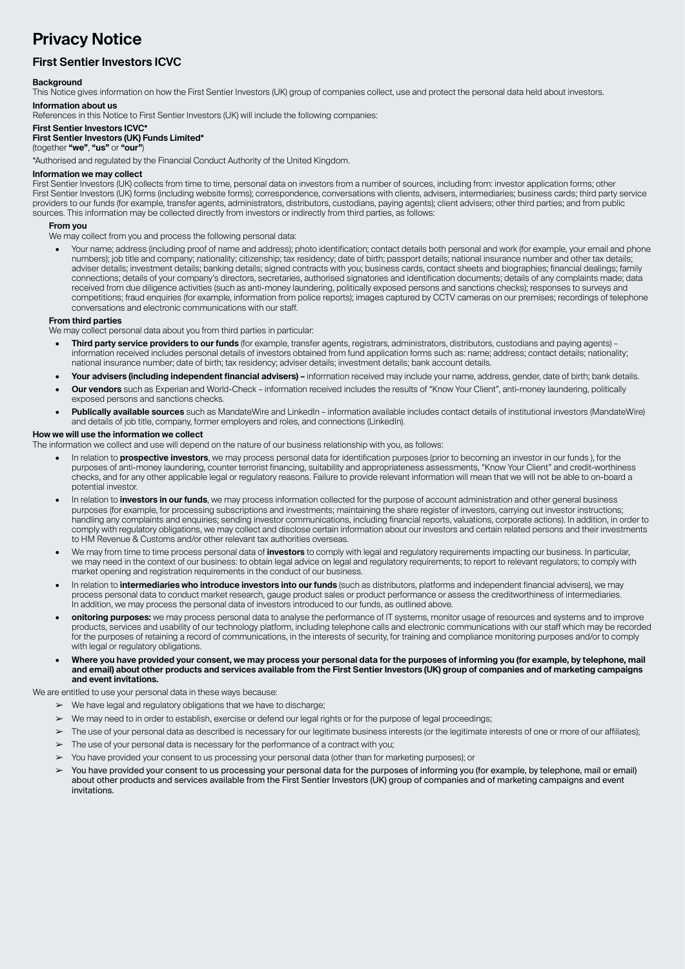# **Privacy Notice**

# **First Sentier Investors ICVC**

#### **Background**

This Notice gives information on how the First Sentier Investors (UK) group of companies collect, use and protect the personal data held about investors. **Information about us**

References in this Notice to First Sentier Investors (UK) will include the following companies:

#### **First Sentier Investors ICVC\***

**First Sentier Investors (UK) Funds Limited\*** 

(together **"we"**, **"us"** or **"our"**)

\*Authorised and regulated by the Financial Conduct Authority of the United Kingdom.

#### **Information we may collect**

First Sentier Investors (UK) collects from time to time, personal data on investors from a number of sources, including from: investor application forms; other First Sentier Investors (UK) forms (including website forms); correspondence, conversations with clients, advisers, intermediaries; business cards; third party service providers to our funds (for example, transfer agents, administrators, distributors, custodians, paying agents); client advisers; other third parties; and from public sources. This information may be collected directly from investors or indirectly from third parties, as follows:

#### **From you**

We may collect from you and process the following personal data:

• Your name; address (including proof of name and address); photo identification; contact details both personal and work (for example, your email and phone numbers); job title and company; nationality; citizenship; tax residency; date of birth; passport details; national insurance number and other tax details; adviser details; investment details; banking details; signed contracts with you; business cards, contact sheets and biographies; financial dealings; family connections; details of your company's directors, secretaries, authorised signatories and identification documents; details of any complaints made; data received from due diligence activities (such as anti-money laundering, politically exposed persons and sanctions checks); responses to surveys and competitions; fraud enquiries (for example, information from police reports); images captured by CCTV cameras on our premises; recordings of telephone conversations and electronic communications with our staff.

#### **From third parties**

We may collect personal data about you from third parties in particular:

- **• Third party service providers to our funds** (for example, transfer agents, registrars, administrators, distributors, custodians and paying agents) information received includes personal details of investors obtained from fund application forms such as: name; address; contact details; nationality; national insurance number; date of birth; tax residency; adviser details; investment details; bank account details.
- **• Your advisers (including independent financial advisers) –** information received may include your name, address, gender, date of birth; bank details.
- **• Our vendors** such as Experian and World-Check information received includes the results of "Know Your Client", anti-money laundering, politically exposed persons and sanctions checks.
- **• Publically available sources** such as MandateWire and LinkedIn information available includes contact details of institutional investors (MandateWire) and details of job title, company, former employers and roles, and connections (LinkedIn).

#### **How we will use the information we collect**

The information we collect and use will depend on the nature of our business relationship with you, as follows:

- In relation to **prospective investors**, we may process personal data for identification purposes (prior to becoming an investor in our funds ), for the purposes of anti-money laundering, counter terrorist financing, suitability and appropriateness assessments, "Know Your Client" and credit-worthiness checks, and for any other applicable legal or regulatory reasons. Failure to provide relevant information will mean that we will not be able to on-board a potential investor.
- In relation to **investors in our funds**, we may process information collected for the purpose of account administration and other general business purposes (for example, for processing subscriptions and investments; maintaining the share register of investors, carrying out investor instructions; handling any complaints and enquiries; sending investor communications, including financial reports, valuations, corporate actions). In addition, in order to comply with regulatory obligations, we may collect and disclose certain information about our investors and certain related persons and their investments to HM Revenue & Customs and/or other relevant tax authorities overseas.
- We may from time to time process personal data of **investors** to comply with legal and regulatory requirements impacting our business. In particular, we may need in the context of our business: to obtain legal advice on legal and regulatory requirements; to report to relevant regulators; to comply with market opening and registration requirements in the conduct of our business.
- In relation to **intermediaries who introduce investors into our funds** (such as distributors, platforms and independent financial advisers), we may process personal data to conduct market research, gauge product sales or product performance or assess the creditworthiness of intermediaries. In addition, we may process the personal data of investors introduced to our funds, as outlined above.
- **• onitoring purposes:** we may process personal data to analyse the performance of IT systems, monitor usage of resources and systems and to improve products, services and usability of our technology platform, including telephone calls and electronic communications with our staff which may be recorded for the purposes of retaining a record of communications, in the interests of security, for training and compliance monitoring purposes and/or to comply with legal or regulatory obligations.
- **• Where you have provided your consent, we may process your personal data for the purposes of informing you (for example, by telephone, mail and email) about other products and services available from the First Sentier Investors (UK) group of companies and of marketing campaigns and event invitations.**

We are entitled to use your personal data in these ways because:

- $\triangleright$  We have legal and regulatory obligations that we have to discharge;
- ➢ We may need to in order to establish, exercise or defend our legal rights or for the purpose of legal proceedings;
- ➢ The use of your personal data as described is necessary for our legitimate business interests (or the legitimate interests of one or more of our affiliates);
- $\triangleright$  The use of your personal data is necessary for the performance of a contract with you;
- ➢ You have provided your consent to us processing your personal data (other than for marketing purposes); or
- You have provided your consent to us processing your personal data for the purposes of informing you (for example, by telephone, mail or email) about other products and services available from the First Sentier Investors (UK) group of companies and of marketing campaigns and event invitations.